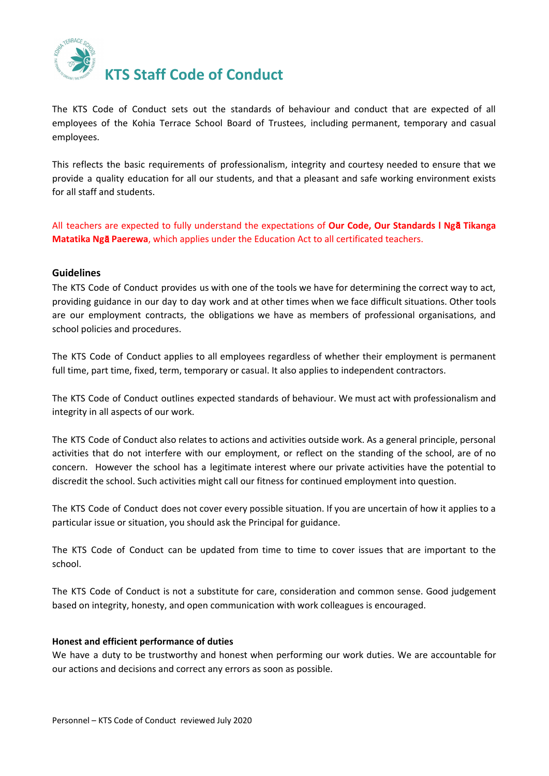

The KTS Code of Conduct sets out the standards of behaviour and conduct that are expected of all employees of the Kohia Terrace School Board of Trustees, including permanent, temporary and casual employees.

This reflects the basic requirements of professionalism, integrity and courtesy needed to ensure that we provide a quality education for all our students, and that a pleasant and safe working environment exists for all staff and students.

All teachers are expected to fully understand the expectations of **Our Code, Our [Standards](https://educationcouncil.org.nz/sites/default/files/Our%20Code%20Our%20Standards%20web%20booklet%20FINAL.pdf) l Ng**ā **Tikanga [Matatika](https://educationcouncil.org.nz/sites/default/files/Our%20Code%20Our%20Standards%20web%20booklet%20FINAL.pdf) Ng**ā **Paerewa**, which applies under the Education Act to all certificated teachers.

## **Guidelines**

The KTS Code of Conduct provides us with one of the tools we have for determining the correct way to act, providing guidance in our day to day work and at other times when we face difficult situations. Other tools are our employment contracts, the obligations we have as members of professional organisations, and school policies and procedures.

The KTS Code of Conduct applies to all employees regardless of whether their employment is permanent full time, part time, fixed, term, temporary or casual. It also applies to independent contractors.

The KTS Code of Conduct outlines expected standards of behaviour. We must act with professionalism and integrity in all aspects of our work.

The KTS Code of Conduct also relates to actions and activities outside work. As a general principle, personal activities that do not interfere with our employment, or reflect on the standing of the school, are of no concern. However the school has a legitimate interest where our private activities have the potential to discredit the school. Such activities might call our fitness for continued employment into question.

The KTS Code of Conduct does not cover every possible situation. If you are uncertain of how it applies to a particular issue or situation, you should ask the Principal for guidance.

The KTS Code of Conduct can be updated from time to time to cover issues that are important to the school.

The KTS Code of Conduct is not a substitute for care, consideration and common sense. Good judgement based on integrity, honesty, and open communication with work colleagues is encouraged.

#### **Honest and efficient performance of duties**

We have a duty to be trustworthy and honest when performing our work duties. We are accountable for our actions and decisions and correct any errors as soon as possible.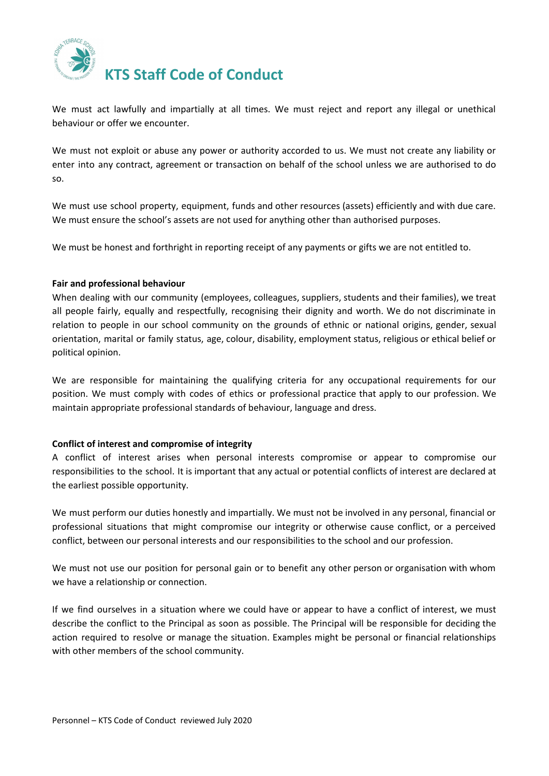

We must act lawfully and impartially at all times. We must reject and report any illegal or unethical behaviour or offer we encounter.

We must not exploit or abuse any power or authority accorded to us. We must not create any liability or enter into any contract, agreement or transaction on behalf of the school unless we are authorised to do so.

We must use school property, equipment, funds and other resources (assets) efficiently and with due care. We must ensure the school's assets are not used for anything other than authorised purposes.

We must be honest and forthright in reporting receipt of any payments or gifts we are not entitled to.

## **Fair and professional behaviour**

When dealing with our community (employees, colleagues, suppliers, students and their families), we treat all people fairly, equally and respectfully, recognising their dignity and worth. We do not discriminate in relation to people in our school community on the grounds of ethnic or national origins, gender, sexual orientation, marital or family status, age, colour, disability, employment status, religious or ethical belief or political opinion.

We are responsible for maintaining the qualifying criteria for any occupational requirements for our position. We must comply with codes of ethics or professional practice that apply to our profession. We maintain appropriate professional standards of behaviour, language and dress.

# **Conflict of interest and compromise of integrity**

A conflict of interest arises when personal interests compromise or appear to compromise our responsibilities to the school. It is important that any actual or potential conflicts of interest are declared at the earliest possible opportunity.

We must perform our duties honestly and impartially. We must not be involved in any personal, financial or professional situations that might compromise our integrity or otherwise cause conflict, or a perceived conflict, between our personal interests and our responsibilities to the school and our profession.

We must not use our position for personal gain or to benefit any other person or organisation with whom we have a relationship or connection.

If we find ourselves in a situation where we could have or appear to have a conflict of interest, we must describe the conflict to the Principal as soon as possible. The Principal will be responsible for deciding the action required to resolve or manage the situation. Examples might be personal or financial relationships with other members of the school community.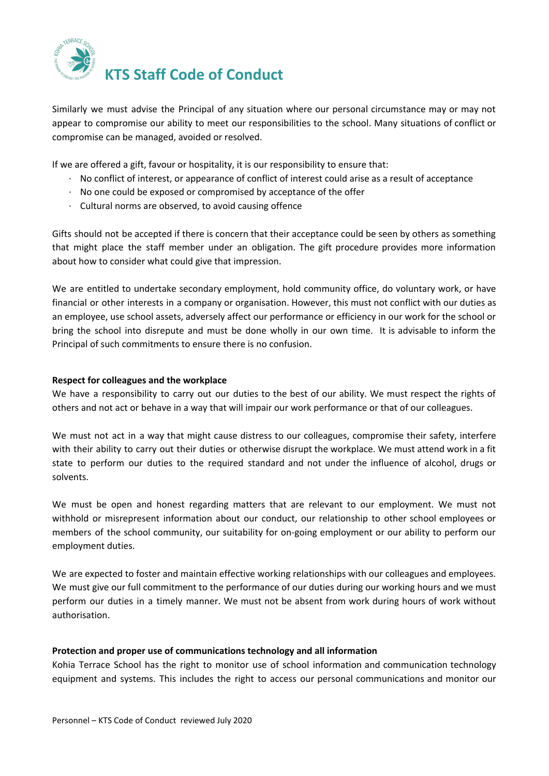

Similarly we must advise the Principal of any situation where our personal circumstance may or may not appear to compromise our ability to meet our responsibilities to the school. Many situations of conflict or compromise can be managed, avoided or resolved.

If we are offered a gift, favour or hospitality, it is our responsibility to ensure that:

- · No conflict of interest, or appearance of conflict of interest could arise as a result of acceptance
- · No one could be exposed or compromised by acceptance of the offer
- · Cultural norms are observed, to avoid causing offence

Gifts should not be accepted if there is concern that their acceptance could be seen by others as something that might place the staff member under an obligation. The gift procedure provides more information about how to consider what could give that impression.

We are entitled to undertake secondary employment, hold community office, do voluntary work, or have financial or other interests in a company or organisation. However, this must not conflict with our duties as an employee, use school assets, adversely affect our performance or efficiency in our work for the school or bring the school into disrepute and must be done wholly in our own time. It is advisable to inform the Principal of such commitments to ensure there is no confusion.

#### **Respect for colleagues and the workplace**

We have a responsibility to carry out our duties to the best of our ability. We must respect the rights of others and not act or behave in a way that will impair our work performance or that of our colleagues.

We must not act in a way that might cause distress to our colleagues, compromise their safety, interfere with their ability to carry out their duties or otherwise disrupt the workplace. We must attend work in a fit state to perform our duties to the required standard and not under the influence of alcohol, drugs or solvents.

We must be open and honest regarding matters that are relevant to our employment. We must not withhold or misrepresent information about our conduct, our relationship to other school employees or members of the school community, our suitability for on-going employment or our ability to perform our employment duties.

We are expected to foster and maintain effective working relationships with our colleagues and employees. We must give our full commitment to the performance of our duties during our working hours and we must perform our duties in a timely manner. We must not be absent from work during hours of work without authorisation.

#### **Protection and proper use of communications technology and all information**

Kohia Terrace School has the right to monitor use of school information and communication technology equipment and systems. This includes the right to access our personal communications and monitor our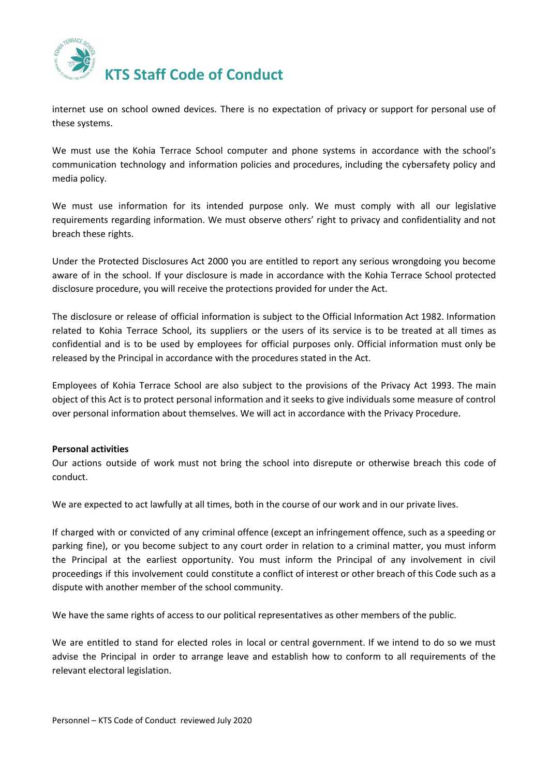

internet use on school owned devices. There is no expectation of privacy or support for personal use of these systems.

We must use the Kohia Terrace School computer and phone systems in accordance with the school's communication technology and information policies and procedures, including the cybersafety policy and media policy.

We must use information for its intended purpose only. We must comply with all our legislative requirements regarding information. We must observe others' right to privacy and confidentiality and not breach these rights.

Under the Protected Disclosures Act 2000 you are entitled to report any serious wrongdoing you become aware of in the school. If your disclosure is made in accordance with the Kohia Terrace School protected disclosure procedure, you will receive the protections provided for under the Act.

The disclosure or release of official information is subject to the Official Information Act 1982. Information related to Kohia Terrace School, its suppliers or the users of its service is to be treated at all times as confidential and is to be used by employees for official purposes only. Official information must only be released by the Principal in accordance with the procedures stated in the Act.

Employees of Kohia Terrace School are also subject to the provisions of the Privacy Act 1993. The main object of this Act is to protect personal information and it seeks to give individuals some measure of control over personal information about themselves. We will act in accordance with the Privacy Procedure.

# **Personal activities**

Our actions outside of work must not bring the school into disrepute or otherwise breach this code of conduct.

We are expected to act lawfully at all times, both in the course of our work and in our private lives.

If charged with or convicted of any criminal offence (except an infringement offence, such as a speeding or parking fine), or you become subject to any court order in relation to a criminal matter, you must inform the Principal at the earliest opportunity. You must inform the Principal of any involvement in civil proceedings if this involvement could constitute a conflict of interest or other breach of this Code such as a dispute with another member of the school community.

We have the same rights of access to our political representatives as other members of the public.

We are entitled to stand for elected roles in local or central government. If we intend to do so we must advise the Principal in order to arrange leave and establish how to conform to all requirements of the relevant electoral legislation.